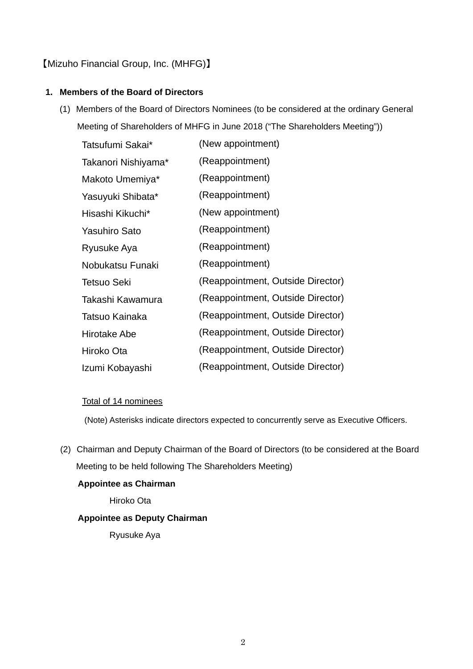## 【Mizuho Financial Group, Inc. (MHFG)】

### **1. Members of the Board of Directors**

(1) Members of the Board of Directors Nominees (to be considered at the ordinary General Meeting of Shareholders of MHFG in June 2018 ("The Shareholders Meeting"))

| Tatsufumi Sakai*     | (New appointment)                 |
|----------------------|-----------------------------------|
| Takanori Nishiyama*  | (Reappointment)                   |
| Makoto Umemiya*      | (Reappointment)                   |
| Yasuyuki Shibata*    | (Reappointment)                   |
| Hisashi Kikuchi*     | (New appointment)                 |
| <b>Yasuhiro Sato</b> | (Reappointment)                   |
| Ryusuke Aya          | (Reappointment)                   |
| Nobukatsu Funaki     | (Reappointment)                   |
| <b>Tetsuo Seki</b>   | (Reappointment, Outside Director) |
| Takashi Kawamura     | (Reappointment, Outside Director) |
| Tatsuo Kainaka       | (Reappointment, Outside Director) |
| Hirotake Abe         | (Reappointment, Outside Director) |
| Hiroko Ota           | (Reappointment, Outside Director) |
| Izumi Kobayashi      | (Reappointment, Outside Director) |

#### Total of 14 nominees

(Note) Asterisks indicate directors expected to concurrently serve as Executive Officers.

(2) Chairman and Deputy Chairman of the Board of Directors (to be considered at the Board Meeting to be held following The Shareholders Meeting)

## **Appointee as Chairman**

Hiroko Ota

### **Appointee as Deputy Chairman**

Ryusuke Aya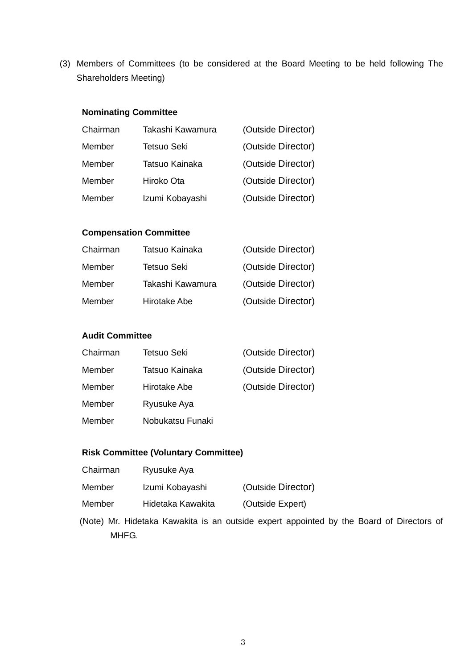(3) Members of Committees (to be considered at the Board Meeting to be held following The Shareholders Meeting)

#### **Nominating Committee**

| Chairman | Takashi Kawamura   | (Outside Director) |
|----------|--------------------|--------------------|
| Member   | <b>Tetsuo Seki</b> | (Outside Director) |
| Member   | Tatsuo Kainaka     | (Outside Director) |
| Member   | Hiroko Ota         | (Outside Director) |
| Member   | Izumi Kobayashi    | (Outside Director) |

#### **Compensation Committee**

| Chairman | Tatsuo Kainaka   | (Outside Director) |
|----------|------------------|--------------------|
| Member   | Tetsuo Seki      | (Outside Director) |
| Member   | Takashi Kawamura | (Outside Director) |
| Member   | Hirotake Abe     | (Outside Director) |

## **Audit Committee**

| Chairman | Tetsuo Seki      | (Outside Director) |
|----------|------------------|--------------------|
| Member   | Tatsuo Kainaka   | (Outside Director) |
| Member   | Hirotake Abe     | (Outside Director) |
| Member   | Ryusuke Aya      |                    |
| Member   | Nobukatsu Funaki |                    |

#### **Risk Committee (Voluntary Committee)**

- Chairman Ryusuke Aya
- Member Izumi Kobayashi (Outside Director)
- Member Hidetaka Kawakita (Outside Expert)
- (Note) Mr. Hidetaka Kawakita is an outside expert appointed by the Board of Directors of MHFG.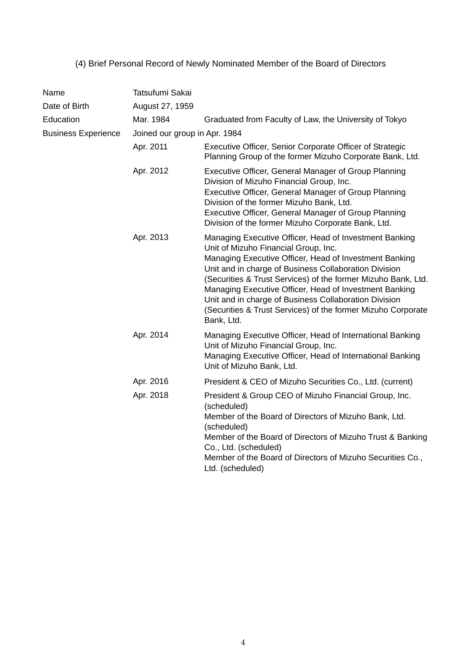# (4) Brief Personal Record of Newly Nominated Member of the Board of Directors

| Name                       | Tatsufumi Sakai               |                                                                                                                                                                                                                                                                                                                                                                                                                                                                                     |  |  |
|----------------------------|-------------------------------|-------------------------------------------------------------------------------------------------------------------------------------------------------------------------------------------------------------------------------------------------------------------------------------------------------------------------------------------------------------------------------------------------------------------------------------------------------------------------------------|--|--|
| Date of Birth              | August 27, 1959               |                                                                                                                                                                                                                                                                                                                                                                                                                                                                                     |  |  |
| Education                  | Mar. 1984                     | Graduated from Faculty of Law, the University of Tokyo                                                                                                                                                                                                                                                                                                                                                                                                                              |  |  |
| <b>Business Experience</b> | Joined our group in Apr. 1984 |                                                                                                                                                                                                                                                                                                                                                                                                                                                                                     |  |  |
|                            | Apr. 2011                     | Executive Officer, Senior Corporate Officer of Strategic<br>Planning Group of the former Mizuho Corporate Bank, Ltd.                                                                                                                                                                                                                                                                                                                                                                |  |  |
|                            | Apr. 2012                     | Executive Officer, General Manager of Group Planning<br>Division of Mizuho Financial Group, Inc.<br>Executive Officer, General Manager of Group Planning<br>Division of the former Mizuho Bank, Ltd.<br>Executive Officer, General Manager of Group Planning<br>Division of the former Mizuho Corporate Bank, Ltd.                                                                                                                                                                  |  |  |
|                            | Apr. 2013                     | Managing Executive Officer, Head of Investment Banking<br>Unit of Mizuho Financial Group, Inc.<br>Managing Executive Officer, Head of Investment Banking<br>Unit and in charge of Business Collaboration Division<br>(Securities & Trust Services) of the former Mizuho Bank, Ltd.<br>Managing Executive Officer, Head of Investment Banking<br>Unit and in charge of Business Collaboration Division<br>(Securities & Trust Services) of the former Mizuho Corporate<br>Bank, Ltd. |  |  |
|                            | Apr. 2014                     | Managing Executive Officer, Head of International Banking<br>Unit of Mizuho Financial Group, Inc.<br>Managing Executive Officer, Head of International Banking<br>Unit of Mizuho Bank, Ltd.                                                                                                                                                                                                                                                                                         |  |  |
|                            | Apr. 2016                     | President & CEO of Mizuho Securities Co., Ltd. (current)                                                                                                                                                                                                                                                                                                                                                                                                                            |  |  |
|                            | Apr. 2018                     | President & Group CEO of Mizuho Financial Group, Inc.<br>(scheduled)<br>Member of the Board of Directors of Mizuho Bank, Ltd.<br>(scheduled)<br>Member of the Board of Directors of Mizuho Trust & Banking<br>Co., Ltd. (scheduled)<br>Member of the Board of Directors of Mizuho Securities Co.,<br>Ltd. (scheduled)                                                                                                                                                               |  |  |
|                            |                               |                                                                                                                                                                                                                                                                                                                                                                                                                                                                                     |  |  |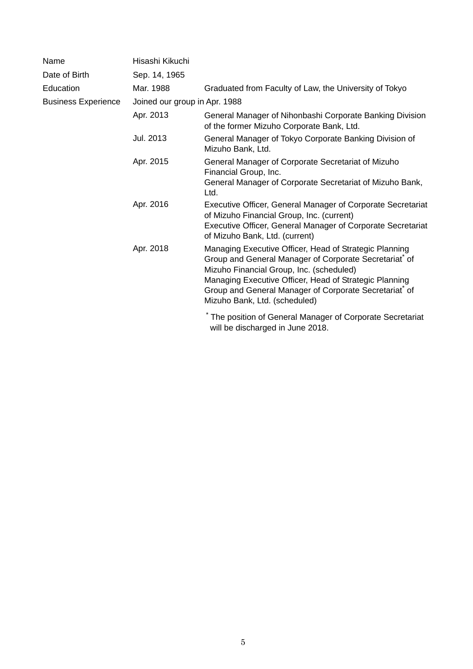| Name                       | Hisashi Kikuchi |                                                                                                                                                                                                                                                                                                                  |  |  |  |
|----------------------------|-----------------|------------------------------------------------------------------------------------------------------------------------------------------------------------------------------------------------------------------------------------------------------------------------------------------------------------------|--|--|--|
| Date of Birth              | Sep. 14, 1965   |                                                                                                                                                                                                                                                                                                                  |  |  |  |
| Education                  | Mar. 1988       | Graduated from Faculty of Law, the University of Tokyo                                                                                                                                                                                                                                                           |  |  |  |
| <b>Business Experience</b> |                 | Joined our group in Apr. 1988                                                                                                                                                                                                                                                                                    |  |  |  |
|                            | Apr. 2013       | General Manager of Nihonbashi Corporate Banking Division<br>of the former Mizuho Corporate Bank, Ltd.                                                                                                                                                                                                            |  |  |  |
|                            | Jul. 2013       | General Manager of Tokyo Corporate Banking Division of<br>Mizuho Bank, Ltd.                                                                                                                                                                                                                                      |  |  |  |
|                            | Apr. 2015       | General Manager of Corporate Secretariat of Mizuho<br>Financial Group, Inc.<br>General Manager of Corporate Secretariat of Mizuho Bank,<br>Ltd.                                                                                                                                                                  |  |  |  |
|                            | Apr. 2016       | Executive Officer, General Manager of Corporate Secretariat<br>of Mizuho Financial Group, Inc. (current)<br><b>Executive Officer, General Manager of Corporate Secretariat</b><br>of Mizuho Bank, Ltd. (current)                                                                                                 |  |  |  |
|                            | Apr. 2018       | Managing Executive Officer, Head of Strategic Planning<br>Group and General Manager of Corporate Secretariat* of<br>Mizuho Financial Group, Inc. (scheduled)<br>Managing Executive Officer, Head of Strategic Planning<br>Group and General Manager of Corporate Secretariat of<br>Mizuho Bank, Ltd. (scheduled) |  |  |  |
|                            |                 | The position of General Manager of Corporate Secretariat<br>will be discharged in June 2018.                                                                                                                                                                                                                     |  |  |  |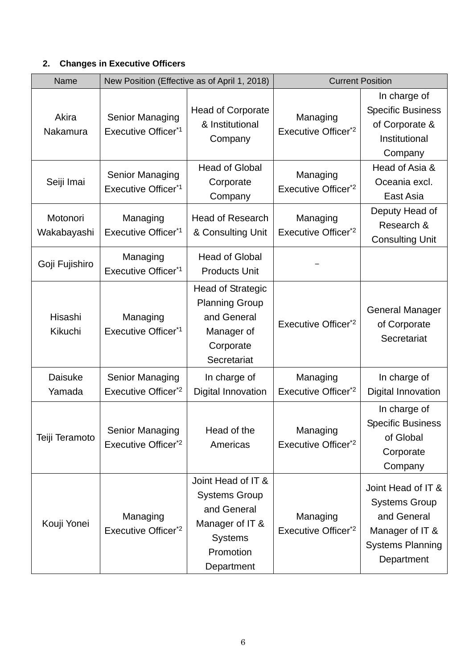# **2. Changes in Executive Officers**

| Name                     |                                                           | New Position (Effective as of April 1, 2018)                                                                              | <b>Current Position</b>                     |                                                                                                                       |
|--------------------------|-----------------------------------------------------------|---------------------------------------------------------------------------------------------------------------------------|---------------------------------------------|-----------------------------------------------------------------------------------------------------------------------|
| Akira<br>Nakamura        | Senior Managing<br>Executive Officer <sup>*1</sup>        | <b>Head of Corporate</b><br>& Institutional<br>Company                                                                    | Managing<br>Executive Officer <sup>*2</sup> | In charge of<br><b>Specific Business</b><br>of Corporate &<br>Institutional<br>Company                                |
| Seiji Imai               | <b>Senior Managing</b><br>Executive Officer <sup>*1</sup> | <b>Head of Global</b><br>Corporate<br>Company                                                                             | Managing<br>Executive Officer <sup>*2</sup> | Head of Asia &<br>Oceania excl.<br>East Asia                                                                          |
| Motonori<br>Wakabayashi  | Managing<br>Executive Officer <sup>*1</sup>               | Head of Research<br>& Consulting Unit                                                                                     | Managing<br>Executive Officer <sup>*2</sup> | Deputy Head of<br>Research &<br><b>Consulting Unit</b>                                                                |
| Goji Fujishiro           | Managing<br>Executive Officer <sup>*1</sup>               | <b>Head of Global</b><br><b>Products Unit</b>                                                                             |                                             |                                                                                                                       |
| Hisashi<br>Kikuchi       | Managing<br>Executive Officer <sup>*1</sup>               | <b>Head of Strategic</b><br><b>Planning Group</b><br>and General<br>Manager of<br>Corporate<br>Secretariat                | Executive Officer <sup>*2</sup>             | <b>General Manager</b><br>of Corporate<br>Secretariat                                                                 |
| <b>Daisuke</b><br>Yamada | Senior Managing<br>Executive Officer <sup>*2</sup>        | In charge of<br>Digital Innovation                                                                                        | Managing<br>Executive Officer <sup>*2</sup> | In charge of<br><b>Digital Innovation</b>                                                                             |
| Teiji Teramoto           | Senior Managing<br>Executive Officer <sup>*2</sup>        | Head of the<br>Americas                                                                                                   | Managing<br>Executive Officer <sup>*2</sup> | In charge of<br><b>Specific Business</b><br>of Global<br>Corporate<br>Company                                         |
| Kouji Yonei              | Managing<br>Executive Officer <sup>*2</sup>               | Joint Head of IT &<br><b>Systems Group</b><br>and General<br>Manager of IT &<br><b>Systems</b><br>Promotion<br>Department | Managing<br>Executive Officer <sup>*2</sup> | Joint Head of IT &<br><b>Systems Group</b><br>and General<br>Manager of IT &<br><b>Systems Planning</b><br>Department |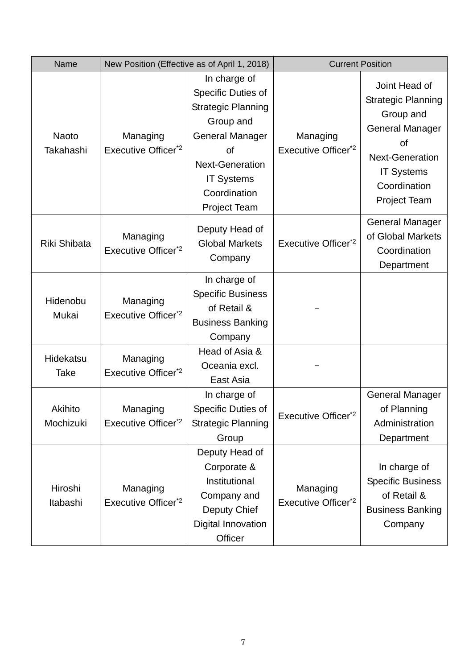| Name                      |                                             | New Position (Effective as of April 1, 2018)                                                                                                                                                       | <b>Current Position</b>                     |                                                                                                                                                                               |
|---------------------------|---------------------------------------------|----------------------------------------------------------------------------------------------------------------------------------------------------------------------------------------------------|---------------------------------------------|-------------------------------------------------------------------------------------------------------------------------------------------------------------------------------|
| <b>Naoto</b><br>Takahashi | Managing<br>Executive Officer <sup>*2</sup> | In charge of<br>Specific Duties of<br><b>Strategic Planning</b><br>Group and<br><b>General Manager</b><br>of<br><b>Next-Generation</b><br><b>IT Systems</b><br>Coordination<br><b>Project Team</b> | Managing<br>Executive Officer <sup>*2</sup> | Joint Head of<br><b>Strategic Planning</b><br>Group and<br><b>General Manager</b><br>of<br><b>Next-Generation</b><br><b>IT Systems</b><br>Coordination<br><b>Project Team</b> |
| Riki Shibata              | Managing<br>Executive Officer <sup>*2</sup> | Deputy Head of<br><b>Global Markets</b><br>Company                                                                                                                                                 | Executive Officer <sup>*2</sup>             | <b>General Manager</b><br>of Global Markets<br>Coordination<br>Department                                                                                                     |
| Hidenobu<br>Mukai         | Managing<br>Executive Officer <sup>*2</sup> | In charge of<br><b>Specific Business</b><br>of Retail &<br><b>Business Banking</b><br>Company                                                                                                      |                                             |                                                                                                                                                                               |
| Hidekatsu<br>Take         | Managing<br>Executive Officer <sup>*2</sup> | Head of Asia &<br>Oceania excl.<br>East Asia                                                                                                                                                       |                                             |                                                                                                                                                                               |
| Akihito<br>Mochizuki      | Managing<br>Executive Officer <sup>*2</sup> | In charge of<br>Specific Duties of<br><b>Strategic Planning</b><br>Group                                                                                                                           | Executive Officer <sup>*2</sup>             | <b>General Manager</b><br>of Planning<br>Administration<br>Department                                                                                                         |
| Hiroshi<br>Itabashi       | Managing<br>Executive Officer*2             | Deputy Head of<br>Corporate &<br>Institutional<br>Company and<br>Deputy Chief<br>Digital Innovation<br>Officer                                                                                     | Managing<br>Executive Officer <sup>*2</sup> | In charge of<br><b>Specific Business</b><br>of Retail &<br><b>Business Banking</b><br>Company                                                                                 |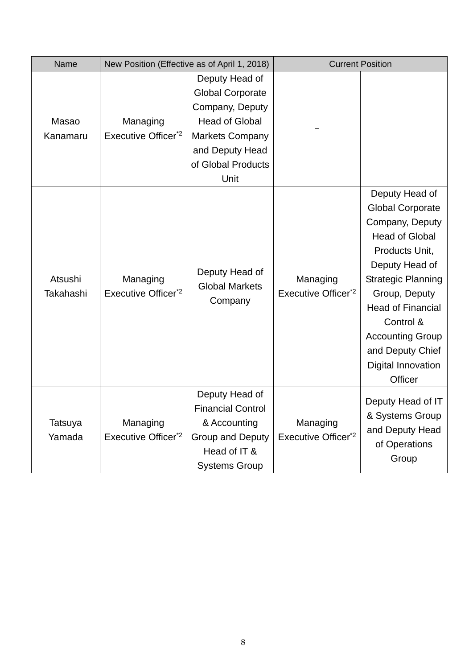| Name                 |                                             | New Position (Effective as of April 1, 2018)                                                                                                                     |                                             | <b>Current Position</b>                                                                                                                                                                                                                                                                          |
|----------------------|---------------------------------------------|------------------------------------------------------------------------------------------------------------------------------------------------------------------|---------------------------------------------|--------------------------------------------------------------------------------------------------------------------------------------------------------------------------------------------------------------------------------------------------------------------------------------------------|
| Masao<br>Kanamaru    | Managing<br>Executive Officer <sup>*2</sup> | Deputy Head of<br><b>Global Corporate</b><br>Company, Deputy<br><b>Head of Global</b><br><b>Markets Company</b><br>and Deputy Head<br>of Global Products<br>Unit |                                             |                                                                                                                                                                                                                                                                                                  |
| Atsushi<br>Takahashi | Managing<br>Executive Officer <sup>*2</sup> | Deputy Head of<br><b>Global Markets</b><br>Company                                                                                                               | Managing<br>Executive Officer <sup>*2</sup> | Deputy Head of<br><b>Global Corporate</b><br>Company, Deputy<br><b>Head of Global</b><br>Products Unit,<br>Deputy Head of<br><b>Strategic Planning</b><br>Group, Deputy<br><b>Head of Financial</b><br>Control &<br><b>Accounting Group</b><br>and Deputy Chief<br>Digital Innovation<br>Officer |
| Tatsuya<br>Yamada    | Managing<br>Executive Officer <sup>*2</sup> | Deputy Head of<br><b>Financial Control</b><br>& Accounting<br><b>Group and Deputy</b><br>Head of IT &<br><b>Systems Group</b>                                    | Managing<br>Executive Officer <sup>*2</sup> | Deputy Head of IT<br>& Systems Group<br>and Deputy Head<br>of Operations<br>Group                                                                                                                                                                                                                |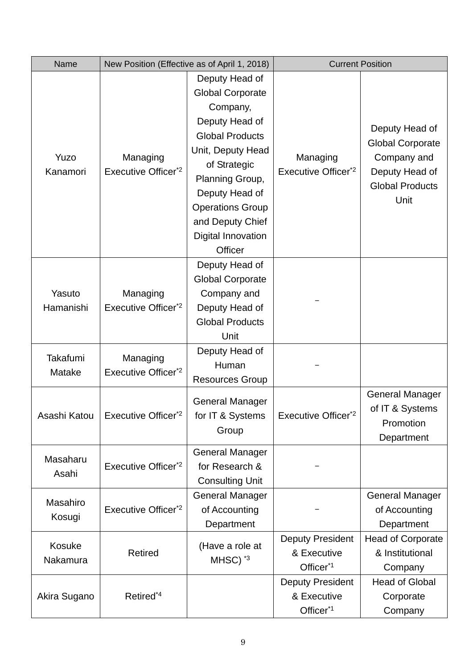| Name                |                                             | New Position (Effective as of April 1, 2018)                                                                                                                                                                                                                |                                                                 | <b>Current Position</b>                                                                                      |
|---------------------|---------------------------------------------|-------------------------------------------------------------------------------------------------------------------------------------------------------------------------------------------------------------------------------------------------------------|-----------------------------------------------------------------|--------------------------------------------------------------------------------------------------------------|
| Yuzo<br>Kanamori    | Managing<br>Executive Officer <sup>*2</sup> | Deputy Head of<br><b>Global Corporate</b><br>Company,<br>Deputy Head of<br><b>Global Products</b><br>Unit, Deputy Head<br>of Strategic<br>Planning Group,<br>Deputy Head of<br><b>Operations Group</b><br>and Deputy Chief<br>Digital Innovation<br>Officer | Managing<br>Executive Officer <sup>*2</sup>                     | Deputy Head of<br><b>Global Corporate</b><br>Company and<br>Deputy Head of<br><b>Global Products</b><br>Unit |
| Yasuto<br>Hamanishi | Managing<br>Executive Officer <sup>*2</sup> | Deputy Head of<br><b>Global Corporate</b><br>Company and<br>Deputy Head of<br><b>Global Products</b><br>Unit                                                                                                                                                |                                                                 |                                                                                                              |
| Takafumi<br>Matake  | Managing<br>Executive Officer <sup>*2</sup> | Deputy Head of<br>Human<br><b>Resources Group</b>                                                                                                                                                                                                           |                                                                 |                                                                                                              |
| Asashi Katou        | Executive Officer <sup>*2</sup>             | <b>General Manager</b><br>for IT & Systems<br>Group                                                                                                                                                                                                         | Executive Officer*2                                             | <b>General Manager</b><br>of IT & Systems<br>Promotion<br>Department                                         |
| Masaharu<br>Asahi   | Executive Officer <sup>*2</sup>             | <b>General Manager</b><br>for Research &<br><b>Consulting Unit</b>                                                                                                                                                                                          |                                                                 |                                                                                                              |
| Masahiro<br>Kosugi  | Executive Officer <sup>*2</sup>             | <b>General Manager</b><br>of Accounting<br>Department                                                                                                                                                                                                       |                                                                 | <b>General Manager</b><br>of Accounting<br>Department                                                        |
| Kosuke<br>Nakamura  | <b>Retired</b>                              | (Have a role at<br>$MHSC)^*$ <sup>3</sup>                                                                                                                                                                                                                   | <b>Deputy President</b><br>& Executive<br>Officer <sup>*1</sup> | <b>Head of Corporate</b><br>& Institutional<br>Company                                                       |
| Akira Sugano        | Retired <sup>*4</sup>                       |                                                                                                                                                                                                                                                             | <b>Deputy President</b><br>& Executive<br>Officer <sup>*1</sup> | <b>Head of Global</b><br>Corporate<br>Company                                                                |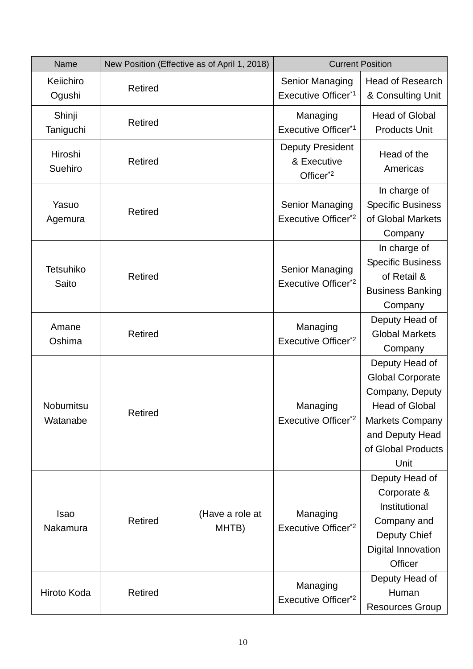| Name                         |                | New Position (Effective as of April 1, 2018) | <b>Current Position</b>                                         |                                                                                                                                                                  |
|------------------------------|----------------|----------------------------------------------|-----------------------------------------------------------------|------------------------------------------------------------------------------------------------------------------------------------------------------------------|
| Keiichiro<br>Ogushi          | <b>Retired</b> |                                              | <b>Senior Managing</b><br>Executive Officer <sup>*1</sup>       | <b>Head of Research</b><br>& Consulting Unit                                                                                                                     |
| Shinji<br>Taniguchi          | Retired        |                                              | Managing<br>Executive Officer <sup>*1</sup>                     | <b>Head of Global</b><br><b>Products Unit</b>                                                                                                                    |
| Hiroshi<br>Suehiro           | <b>Retired</b> |                                              | <b>Deputy President</b><br>& Executive<br>Officer <sup>*2</sup> | Head of the<br>Americas                                                                                                                                          |
| Yasuo<br>Agemura             | <b>Retired</b> |                                              | Senior Managing<br>Executive Officer* <sup>2</sup>              | In charge of<br><b>Specific Business</b><br>of Global Markets<br>Company                                                                                         |
| <b>Tetsuhiko</b><br>Saito    | <b>Retired</b> |                                              | Senior Managing<br>Executive Officer <sup>*2</sup>              | In charge of<br><b>Specific Business</b><br>of Retail &<br><b>Business Banking</b><br>Company                                                                    |
| Amane<br>Oshima              | <b>Retired</b> |                                              | Managing<br>Executive Officer <sup>*2</sup>                     | Deputy Head of<br><b>Global Markets</b><br>Company                                                                                                               |
| <b>Nobumitsu</b><br>Watanabe | Retired        |                                              | Managing<br>Executive Officer <sup>*2</sup>                     | Deputy Head of<br><b>Global Corporate</b><br>Company, Deputy<br><b>Head of Global</b><br><b>Markets Company</b><br>and Deputy Head<br>of Global Products<br>Unit |
| <b>Isao</b><br>Nakamura      | <b>Retired</b> | (Have a role at<br>MHTB)                     | Managing<br>Executive Officer <sup>*2</sup>                     | Deputy Head of<br>Corporate &<br>Institutional<br>Company and<br>Deputy Chief<br>Digital Innovation<br>Officer                                                   |
| Hiroto Koda                  | <b>Retired</b> |                                              | Managing<br>Executive Officer <sup>*2</sup>                     | Deputy Head of<br>Human<br><b>Resources Group</b>                                                                                                                |